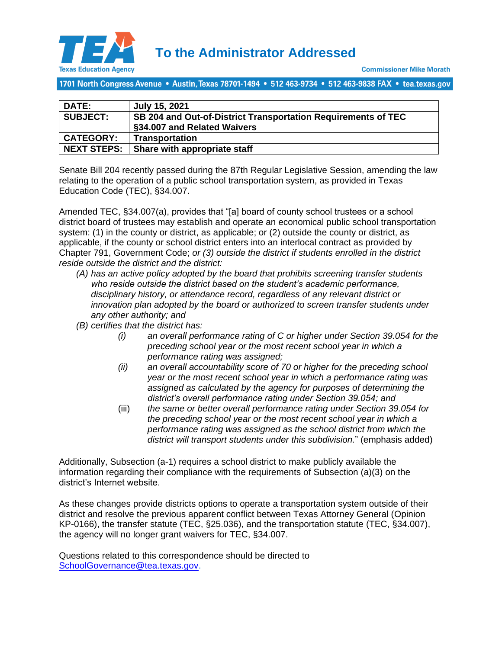

1701 North Congress Avenue • Austin, Texas 78701-1494 • 512 463-9734 • 512 463-9838 FAX • tea.texas.gov

| DATE:              | July 15, 2021                                                 |
|--------------------|---------------------------------------------------------------|
| <b>SUBJECT:</b>    | SB 204 and Out-of-District Transportation Requirements of TEC |
|                    | §34.007 and Related Waivers                                   |
| <b>CATEGORY:</b>   | Transportation                                                |
| <b>NEXT STEPS:</b> | Share with appropriate staff                                  |

Senate Bill 204 recently passed during the 87th Regular Legislative Session, amending the law relating to the operation of a public school transportation system, as provided in Texas Education Code (TEC), §34.007.

Amended TEC, §34.007(a), provides that "[a] board of county school trustees or a school district board of trustees may establish and operate an economical public school transportation system: (1) in the county or district, as applicable; or (2) outside the county or district, as applicable, if the county or school district enters into an interlocal contract as provided by Chapter 791, Government Code; *or (3) outside the district if students enrolled in the district reside outside the district and the district:*

- *(A) has an active policy adopted by the board that prohibits screening transfer students who reside outside the district based on the student's academic performance, disciplinary history, or attendance record, regardless of any relevant district or innovation plan adopted by the board or authorized to screen transfer students under any other authority; and*
- *(B) certifies that the district has:*
	- *(i) an overall performance rating of C or higher under Section 39.054 for the preceding school year or the most recent school year in which a performance rating was assigned;*
	- *(ii) an overall accountability score of 70 or higher for the preceding school year or the most recent school year in which a performance rating was assigned as calculated by the agency for purposes of determining the district's overall performance rating under Section 39.054; and*
	- (iii) *the same or better overall performance rating under Section 39.054 for the preceding school year or the most recent school year in which a performance rating was assigned as the school district from which the district will transport students under this subdivision.*" (emphasis added)

Additionally, Subsection (a-1) requires a school district to make publicly available the information regarding their compliance with the requirements of Subsection (a)(3) on the district's Internet website.

As these changes provide districts options to operate a transportation system outside of their district and resolve the previous apparent conflict between Texas Attorney General (Opinion KP-0166), the transfer statute (TEC, §25.036), and the transportation statute (TEC, §34.007), the agency will no longer grant waivers for TEC, §34.007.

Questions related to this correspondence should be directed to [SchoolGovernance@tea.texas.gov.](mailto:SchoolGovernance@tea.texas.gov)